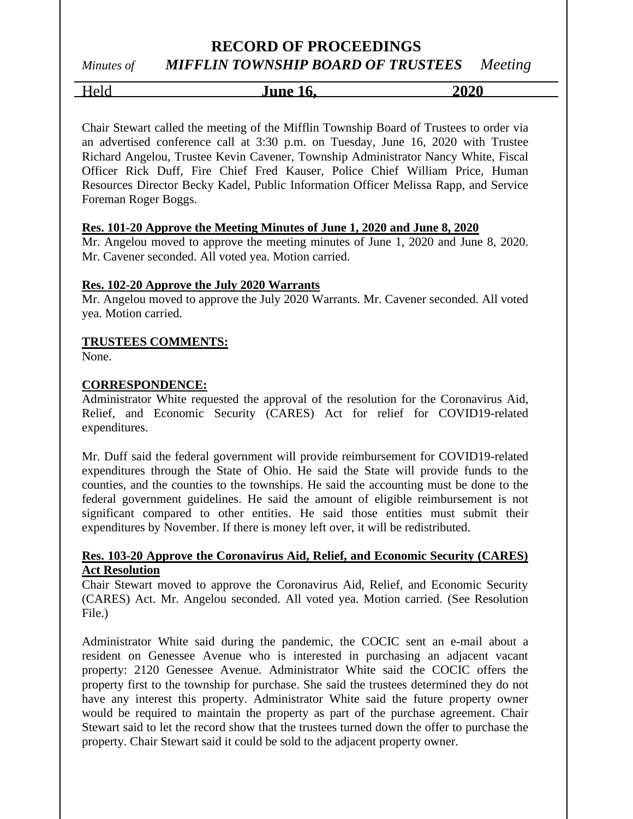### **RECORD OF PROCEEDINGS**

# *Minutes of MIFFLIN TOWNSHIP BOARD OF TRUSTEES Meeting*

Held **June 16, 2020**

Chair Stewart called the meeting of the Mifflin Township Board of Trustees to order via an advertised conference call at 3:30 p.m. on Tuesday, June 16, 2020 with Trustee Richard Angelou, Trustee Kevin Cavener, Township Administrator Nancy White, Fiscal Officer Rick Duff, Fire Chief Fred Kauser, Police Chief William Price, Human Resources Director Becky Kadel, Public Information Officer Melissa Rapp, and Service Foreman Roger Boggs.

### **Res. 101-20 Approve the Meeting Minutes of June 1, 2020 and June 8, 2020**

Mr. Angelou moved to approve the meeting minutes of June 1, 2020 and June 8, 2020. Mr. Cavener seconded. All voted yea. Motion carried.

### **Res. 102-20 Approve the July 2020 Warrants**

Mr. Angelou moved to approve the July 2020 Warrants. Mr. Cavener seconded. All voted yea. Motion carried.

### **TRUSTEES COMMENTS:**

None.

### **CORRESPONDENCE:**

Administrator White requested the approval of the resolution for the Coronavirus Aid, Relief, and Economic Security (CARES) Act for relief for COVID19-related expenditures.

Mr. Duff said the federal government will provide reimbursement for COVID19-related expenditures through the State of Ohio. He said the State will provide funds to the counties, and the counties to the townships. He said the accounting must be done to the federal government guidelines. He said the amount of eligible reimbursement is not significant compared to other entities. He said those entities must submit their expenditures by November. If there is money left over, it will be redistributed.

### **Res. 103-20 Approve the Coronavirus Aid, Relief, and Economic Security (CARES) Act Resolution**

Chair Stewart moved to approve the Coronavirus Aid, Relief, and Economic Security (CARES) Act. Mr. Angelou seconded. All voted yea. Motion carried. (See Resolution File.)

Administrator White said during the pandemic, the COCIC sent an e-mail about a resident on Genessee Avenue who is interested in purchasing an adjacent vacant property: 2120 Genessee Avenue. Administrator White said the COCIC offers the property first to the township for purchase. She said the trustees determined they do not have any interest this property. Administrator White said the future property owner would be required to maintain the property as part of the purchase agreement. Chair Stewart said to let the record show that the trustees turned down the offer to purchase the property. Chair Stewart said it could be sold to the adjacent property owner.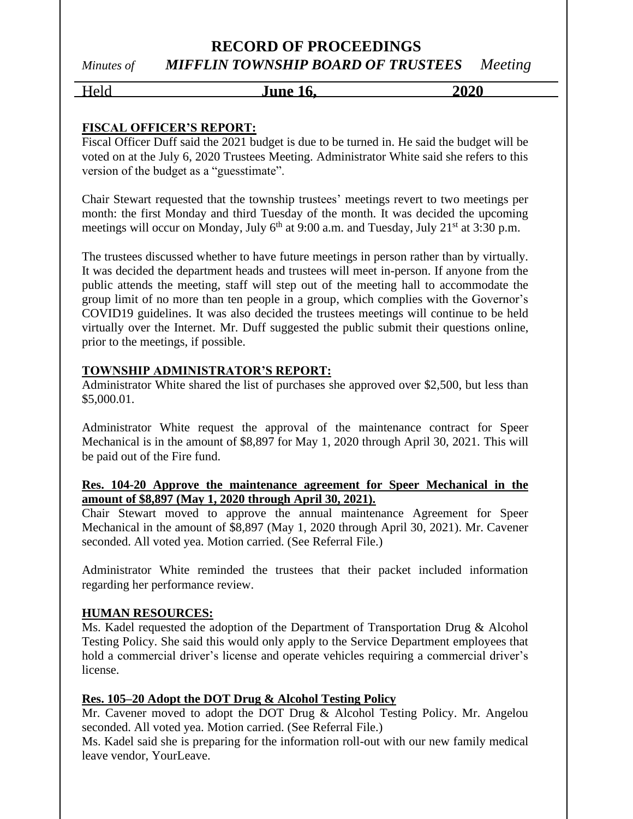### **RECORD OF PROCEEDINGS** *Minutes of MIFFLIN TOWNSHIP BOARD OF TRUSTEES Meeting*

Held **June 16, 2020**

### **FISCAL OFFICER'S REPORT:**

Fiscal Officer Duff said the 2021 budget is due to be turned in. He said the budget will be voted on at the July 6, 2020 Trustees Meeting. Administrator White said she refers to this version of the budget as a "guesstimate".

Chair Stewart requested that the township trustees' meetings revert to two meetings per month: the first Monday and third Tuesday of the month. It was decided the upcoming meetings will occur on Monday, July 6<sup>th</sup> at 9:00 a.m. and Tuesday, July 21<sup>st</sup> at 3:30 p.m.

The trustees discussed whether to have future meetings in person rather than by virtually. It was decided the department heads and trustees will meet in-person. If anyone from the public attends the meeting, staff will step out of the meeting hall to accommodate the group limit of no more than ten people in a group, which complies with the Governor's COVID19 guidelines. It was also decided the trustees meetings will continue to be held virtually over the Internet. Mr. Duff suggested the public submit their questions online, prior to the meetings, if possible.

### **TOWNSHIP ADMINISTRATOR'S REPORT:**

Administrator White shared the list of purchases she approved over \$2,500, but less than \$5,000.01.

Administrator White request the approval of the maintenance contract for Speer Mechanical is in the amount of \$8,897 for May 1, 2020 through April 30, 2021. This will be paid out of the Fire fund.

### **Res. 104-20 Approve the maintenance agreement for Speer Mechanical in the amount of \$8,897 (May 1, 2020 through April 30, 2021).**

Chair Stewart moved to approve the annual maintenance Agreement for Speer Mechanical in the amount of \$8,897 (May 1, 2020 through April 30, 2021). Mr. Cavener seconded. All voted yea. Motion carried. (See Referral File.)

Administrator White reminded the trustees that their packet included information regarding her performance review.

### **HUMAN RESOURCES:**

Ms. Kadel requested the adoption of the Department of Transportation Drug & Alcohol Testing Policy. She said this would only apply to the Service Department employees that hold a commercial driver's license and operate vehicles requiring a commercial driver's license.

### **Res. 105–20 Adopt the DOT Drug & Alcohol Testing Policy**

Mr. Cavener moved to adopt the DOT Drug & Alcohol Testing Policy. Mr. Angelou seconded. All voted yea. Motion carried. (See Referral File.)

Ms. Kadel said she is preparing for the information roll-out with our new family medical leave vendor, YourLeave.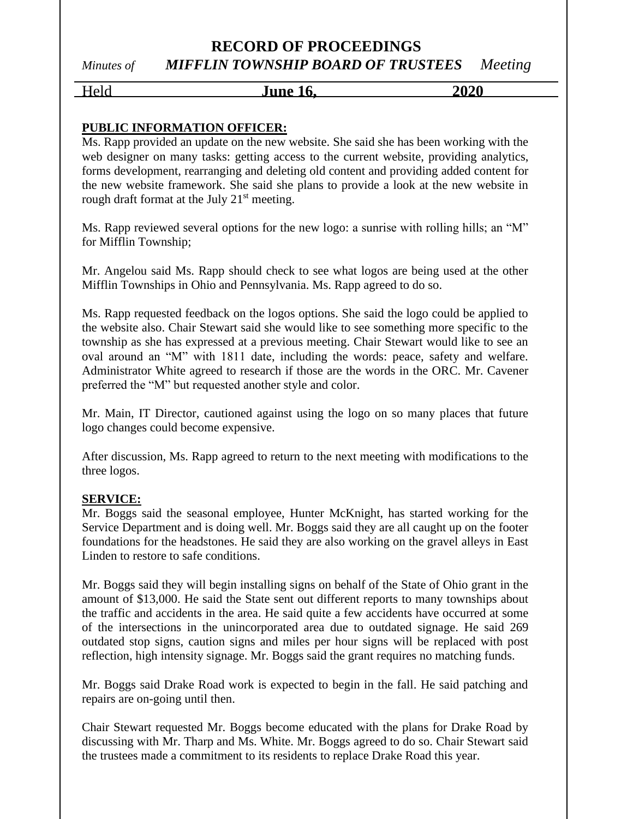### **RECORD OF PROCEEDINGS** *Minutes of MIFFLIN TOWNSHIP BOARD OF TRUSTEES Meeting*

Held **June 16, 2020**

### **PUBLIC INFORMATION OFFICER:**

Ms. Rapp provided an update on the new website. She said she has been working with the web designer on many tasks: getting access to the current website, providing analytics, forms development, rearranging and deleting old content and providing added content for the new website framework. She said she plans to provide a look at the new website in rough draft format at the July  $21<sup>st</sup>$  meeting.

Ms. Rapp reviewed several options for the new logo: a sunrise with rolling hills; an "M" for Mifflin Township;

Mr. Angelou said Ms. Rapp should check to see what logos are being used at the other Mifflin Townships in Ohio and Pennsylvania. Ms. Rapp agreed to do so.

Ms. Rapp requested feedback on the logos options. She said the logo could be applied to the website also. Chair Stewart said she would like to see something more specific to the township as she has expressed at a previous meeting. Chair Stewart would like to see an oval around an "M" with 1811 date, including the words: peace, safety and welfare. Administrator White agreed to research if those are the words in the ORC. Mr. Cavener preferred the "M" but requested another style and color.

Mr. Main, IT Director, cautioned against using the logo on so many places that future logo changes could become expensive.

After discussion, Ms. Rapp agreed to return to the next meeting with modifications to the three logos.

### **SERVICE:**

Mr. Boggs said the seasonal employee, Hunter McKnight, has started working for the Service Department and is doing well. Mr. Boggs said they are all caught up on the footer foundations for the headstones. He said they are also working on the gravel alleys in East Linden to restore to safe conditions.

Mr. Boggs said they will begin installing signs on behalf of the State of Ohio grant in the amount of \$13,000. He said the State sent out different reports to many townships about the traffic and accidents in the area. He said quite a few accidents have occurred at some of the intersections in the unincorporated area due to outdated signage. He said 269 outdated stop signs, caution signs and miles per hour signs will be replaced with post reflection, high intensity signage. Mr. Boggs said the grant requires no matching funds.

Mr. Boggs said Drake Road work is expected to begin in the fall. He said patching and repairs are on-going until then.

Chair Stewart requested Mr. Boggs become educated with the plans for Drake Road by discussing with Mr. Tharp and Ms. White. Mr. Boggs agreed to do so. Chair Stewart said the trustees made a commitment to its residents to replace Drake Road this year.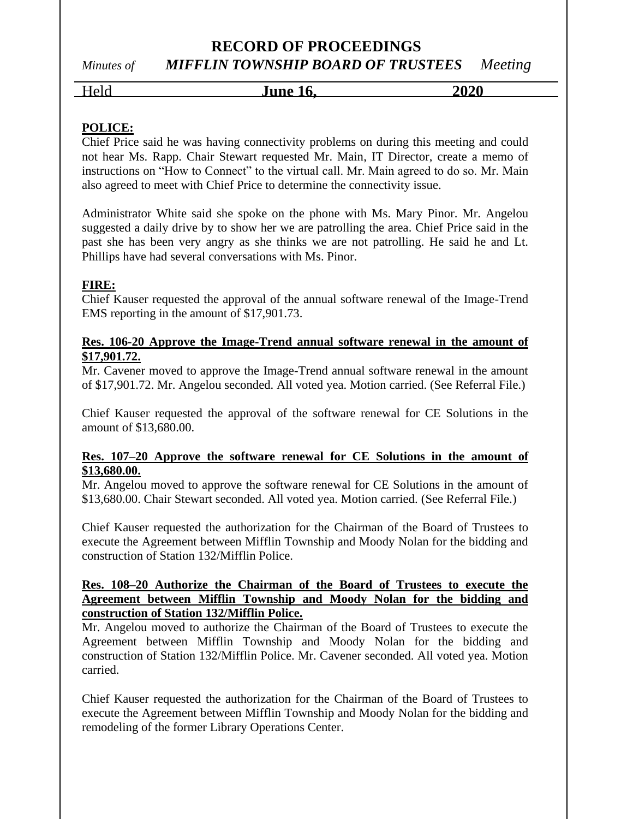# **RECORD OF PROCEEDINGS**

*Minutes of MIFFLIN TOWNSHIP BOARD OF TRUSTEES Meeting*

# Held **June 16, 2020**

### **POLICE:**

Chief Price said he was having connectivity problems on during this meeting and could not hear Ms. Rapp. Chair Stewart requested Mr. Main, IT Director, create a memo of instructions on "How to Connect" to the virtual call. Mr. Main agreed to do so. Mr. Main also agreed to meet with Chief Price to determine the connectivity issue.

Administrator White said she spoke on the phone with Ms. Mary Pinor. Mr. Angelou suggested a daily drive by to show her we are patrolling the area. Chief Price said in the past she has been very angry as she thinks we are not patrolling. He said he and Lt. Phillips have had several conversations with Ms. Pinor.

### **FIRE:**

Chief Kauser requested the approval of the annual software renewal of the Image-Trend EMS reporting in the amount of \$17,901.73.

### **Res. 106-20 Approve the Image-Trend annual software renewal in the amount of \$17,901.72.**

Mr. Cavener moved to approve the Image-Trend annual software renewal in the amount of \$17,901.72. Mr. Angelou seconded. All voted yea. Motion carried. (See Referral File.)

Chief Kauser requested the approval of the software renewal for CE Solutions in the amount of \$13,680.00.

### **Res. 107–20 Approve the software renewal for CE Solutions in the amount of \$13,680.00.**

Mr. Angelou moved to approve the software renewal for CE Solutions in the amount of \$13,680.00. Chair Stewart seconded. All voted yea. Motion carried. (See Referral File.)

Chief Kauser requested the authorization for the Chairman of the Board of Trustees to execute the Agreement between Mifflin Township and Moody Nolan for the bidding and construction of Station 132/Mifflin Police.

### **Res. 108–20 Authorize the Chairman of the Board of Trustees to execute the Agreement between Mifflin Township and Moody Nolan for the bidding and construction of Station 132/Mifflin Police.**

Mr. Angelou moved to authorize the Chairman of the Board of Trustees to execute the Agreement between Mifflin Township and Moody Nolan for the bidding and construction of Station 132/Mifflin Police. Mr. Cavener seconded. All voted yea. Motion carried.

Chief Kauser requested the authorization for the Chairman of the Board of Trustees to execute the Agreement between Mifflin Township and Moody Nolan for the bidding and remodeling of the former Library Operations Center.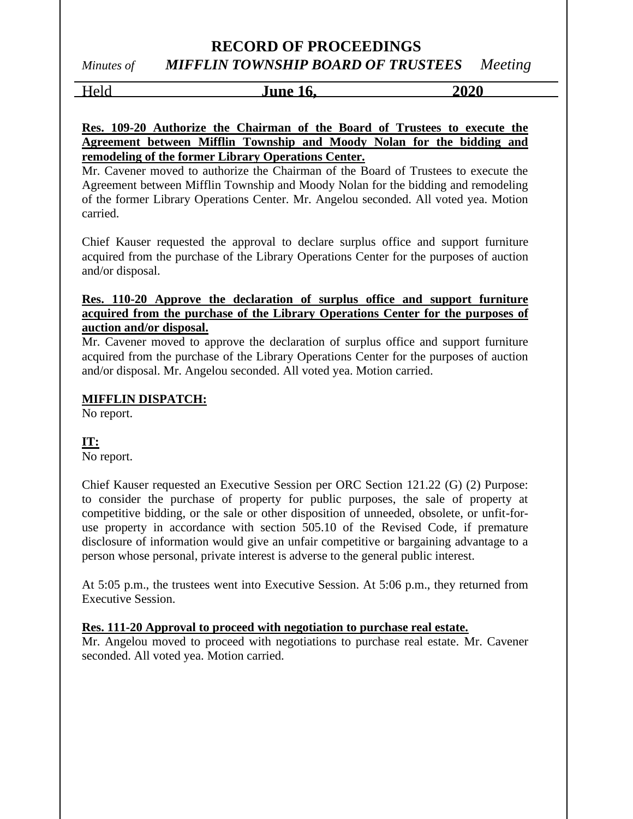### **RECORD OF PROCEEDINGS** *Minutes of MIFFLIN TOWNSHIP BOARD OF TRUSTEES Meeting*

Held **June 16, 2020**

**Res. 109-20 Authorize the Chairman of the Board of Trustees to execute the Agreement between Mifflin Township and Moody Nolan for the bidding and remodeling of the former Library Operations Center.**

Mr. Cavener moved to authorize the Chairman of the Board of Trustees to execute the Agreement between Mifflin Township and Moody Nolan for the bidding and remodeling of the former Library Operations Center. Mr. Angelou seconded. All voted yea. Motion carried.

Chief Kauser requested the approval to declare surplus office and support furniture acquired from the purchase of the Library Operations Center for the purposes of auction and/or disposal.

### **Res. 110-20 Approve the declaration of surplus office and support furniture acquired from the purchase of the Library Operations Center for the purposes of auction and/or disposal.**

Mr. Cavener moved to approve the declaration of surplus office and support furniture acquired from the purchase of the Library Operations Center for the purposes of auction and/or disposal. Mr. Angelou seconded. All voted yea. Motion carried.

### **MIFFLIN DISPATCH:**

No report.

### **IT:**

No report.

Chief Kauser requested an Executive Session per ORC Section 121.22 (G) (2) Purpose: to consider the purchase of property for public purposes, the sale of property at competitive bidding, or the sale or other disposition of unneeded, obsolete, or unfit-foruse property in accordance with section 505.10 of the Revised Code, if premature disclosure of information would give an unfair competitive or bargaining advantage to a person whose personal, private interest is adverse to the general public interest.

At 5:05 p.m., the trustees went into Executive Session. At 5:06 p.m., they returned from Executive Session.

### **Res. 111-20 Approval to proceed with negotiation to purchase real estate.**

Mr. Angelou moved to proceed with negotiations to purchase real estate. Mr. Cavener seconded. All voted yea. Motion carried.